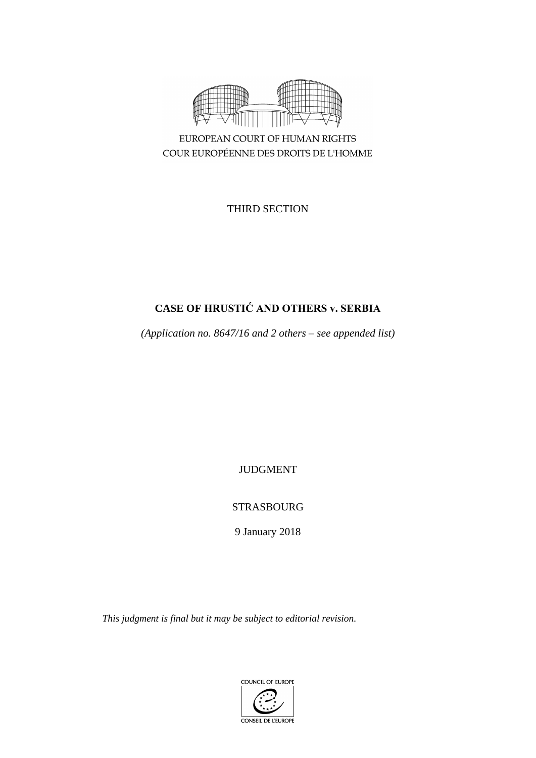

COUR EUROPÉENNE DES DROITS DE L'HOMME

THIRD SECTION

# **CASE OF HRUSTIĆ AND OTHERS v. SERBIA**

*(Application no. 8647/16 and 2 others – see appended list)*

JUDGMENT

## STRASBOURG

9 January 2018

*This judgment is final but it may be subject to editorial revision.*

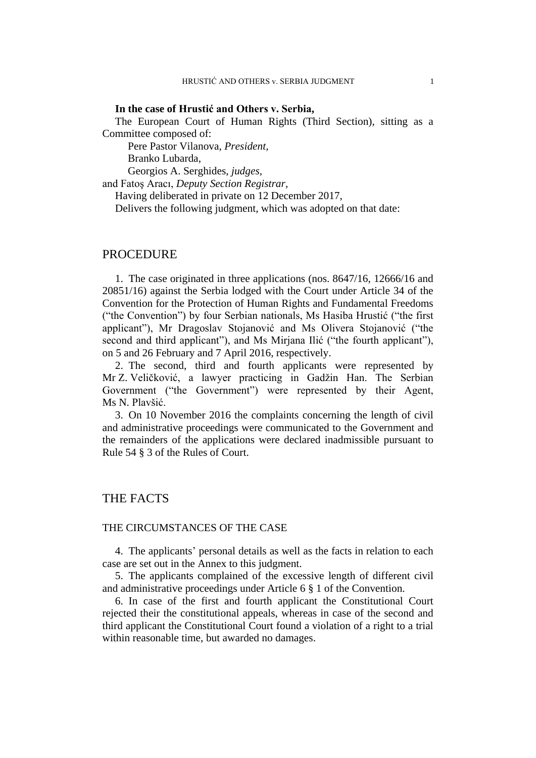#### **In the case of Hrustić and Others v. Serbia,**

The European Court of Human Rights (Third Section), sitting as a Committee composed of:

Pere Pastor Vilanova, *President,*

Branko Lubarda,

Georgios A. Serghides, *judges,*

and Fatoş Aracı, *Deputy Section Registrar,*

Having deliberated in private on 12 December 2017,

Delivers the following judgment, which was adopted on that date:

### PROCEDURE

1. The case originated in three applications (nos. 8647/16, 12666/16 and 20851/16) against the Serbia lodged with the Court under Article 34 of the Convention for the Protection of Human Rights and Fundamental Freedoms ("the Convention") by four Serbian nationals, Ms Hasiba Hrustić ("the first applicant"), Mr Dragoslav Stojanović and Ms Olivera Stojanović ("the second and third applicant"), and Ms Mirjana Ilić ("the fourth applicant"), on 5 and 26 February and 7 April 2016, respectively.

2. The second, third and fourth applicants were represented by Mr Z. Veličković, a lawyer practicing in Gadžin Han. The Serbian Government ("the Government") were represented by their Agent, Ms N. Plavšić.

3. On 10 November 2016 the complaints concerning the length of civil and administrative proceedings were communicated to the Government and the remainders of the applications were declared inadmissible pursuant to Rule 54 § 3 of the Rules of Court.

## THE FACTS

#### THE CIRCUMSTANCES OF THE CASE

4. The applicants' personal details as well as the facts in relation to each case are set out in the Annex to this judgment.

5. The applicants complained of the excessive length of different civil and administrative proceedings under Article 6 § 1 of the Convention.

6. In case of the first and fourth applicant the Constitutional Court rejected their the constitutional appeals, whereas in case of the second and third applicant the Constitutional Court found a violation of a right to a trial within reasonable time, but awarded no damages.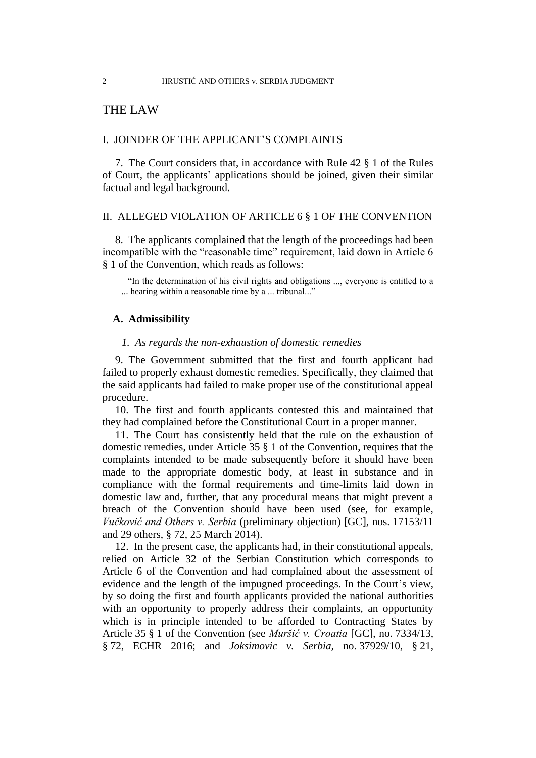## THE LAW

#### I. JOINDER OF THE APPLICANT'S COMPLAINTS

7. The Court considers that, in accordance with Rule 42 § 1 of the Rules of Court, the applicants' applications should be joined, given their similar factual and legal background.

#### II. ALLEGED VIOLATION OF ARTICLE 6 § 1 OF THE CONVENTION

8. The applicants complained that the length of the proceedings had been incompatible with the "reasonable time" requirement, laid down in Article 6 § 1 of the Convention, which reads as follows:

"In the determination of his civil rights and obligations ..., everyone is entitled to a ... hearing within a reasonable time by a ... tribunal..."

#### **A. Admissibility**

#### *1. As regards the non-exhaustion of domestic remedies*

9. The Government submitted that the first and fourth applicant had failed to properly exhaust domestic remedies. Specifically, they claimed that the said applicants had failed to make proper use of the constitutional appeal procedure.

10. The first and fourth applicants contested this and maintained that they had complained before the Constitutional Court in a proper manner.

11. The Court has consistently held that the rule on the exhaustion of domestic remedies, under Article 35 § 1 of the Convention, requires that the complaints intended to be made subsequently before it should have been made to the appropriate domestic body, at least in substance and in compliance with the formal requirements and time-limits laid down in domestic law and, further, that any procedural means that might prevent a breach of the Convention should have been used (see, for example, *Vučković and Others v. Serbia* (preliminary objection) [GC], nos. 17153/11 and 29 others, § 72, 25 March 2014).

12. In the present case, the applicants had, in their constitutional appeals, relied on Article 32 of the Serbian Constitution which corresponds to Article 6 of the Convention and had complained about the assessment of evidence and the length of the impugned proceedings. In the Court's view, by so doing the first and fourth applicants provided the national authorities with an opportunity to properly address their complaints, an opportunity which is in principle intended to be afforded to Contracting States by Article 35 § 1 of the Convention (see *Muršić v. Croatia* [GC], no. 7334/13, § 72, ECHR 2016; and *Joksimovic v. Serbia,* no. 37929/10, § 21,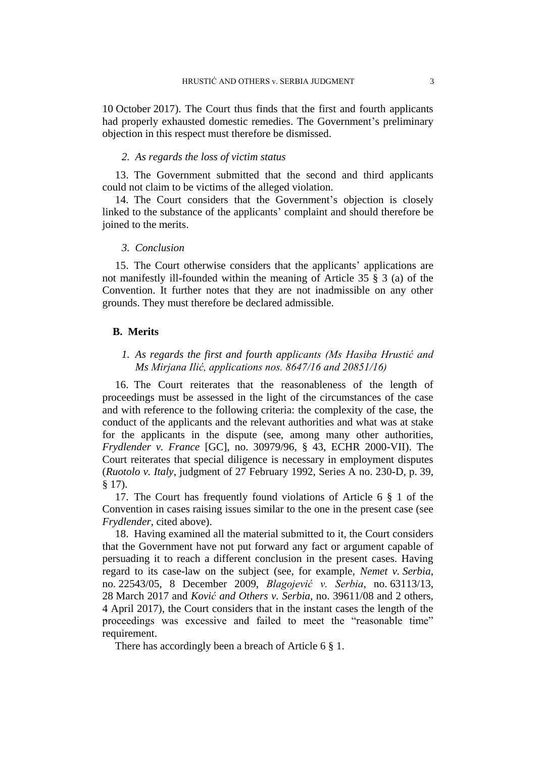10 October 2017). The Court thus finds that the first and fourth applicants had properly exhausted domestic remedies. The Government's preliminary objection in this respect must therefore be dismissed.

#### *2. As regards the loss of victim status*

<span id="page-4-0"></span>13. The Government submitted that the second and third applicants could not claim to be victims of the alleged violation.

14. The Court considers that the Government's objection is closely linked to the substance of the applicants' complaint and should therefore be joined to the merits.

#### *3. Conclusion*

15. The Court otherwise considers that the applicants' applications are not manifestly ill-founded within the meaning of Article 35 § 3 (a) of the Convention. It further notes that they are not inadmissible on any other grounds. They must therefore be declared admissible.

#### **B. Merits**

## *1. As regards the first and fourth applicants (Ms Hasiba Hrustić and Ms Mirjana Ilić, applications nos. 8647/16 and 20851/16)*

16. The Court reiterates that the reasonableness of the length of proceedings must be assessed in the light of the circumstances of the case and with reference to the following criteria: the complexity of the case, the conduct of the applicants and the relevant authorities and what was at stake for the applicants in the dispute (see, among many other authorities, *Frydlender v. France* [GC], no. 30979/96, § 43, ECHR 2000-VII). The Court reiterates that special diligence is necessary in employment disputes (*Ruotolo v. Italy*, judgment of 27 February 1992, Series A no. 230-D, p. 39, § 17).

17. The Court has frequently found violations of Article 6 § 1 of the Convention in cases raising issues similar to the one in the present case (see *Frydlender*, cited above).

18. Having examined all the material submitted to it, the Court considers that the Government have not put forward any fact or argument capable of persuading it to reach a different conclusion in the present cases. Having regard to its case-law on the subject (see, for example, *Nemet v. Serbia*, no. 22543/05, 8 December 2009, *Blagojević v. Serbia*, no. 63113/13, 28 March 2017 and *Ković and Others v. Serbia*, no. 39611/08 and 2 others, 4 April 2017), the Court considers that in the instant cases the length of the proceedings was excessive and failed to meet the "reasonable time" requirement.

There has accordingly been a breach of Article 6  $\S$  1.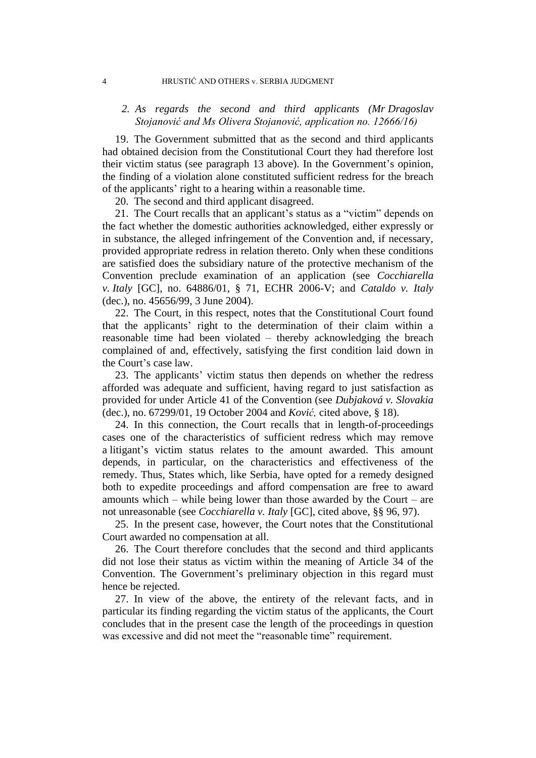#### 4 HRUSTIĆ AND OTHERS v. SERBIA JUDGMENT

### *2. As regards the second and third applicants (Mr Dragoslav Stojanović and Ms Olivera Stojanović, application no. 12666/16)*

19. The Government submitted that as the second and third applicants had obtained decision from the Constitutional Court they had therefore lost their victim status (see paragraph [13](#page-4-0) above). In the Government's opinion, the finding of a violation alone constituted sufficient redress for the breach of the applicants' right to a hearing within a reasonable time.

20. The second and third applicant disagreed.

21. The Court recalls that an applicant's status as a "victim" depends on the fact whether the domestic authorities acknowledged, either expressly or in substance, the alleged infringement of the Convention and, if necessary, provided appropriate redress in relation thereto. Only when these conditions are satisfied does the subsidiary nature of the protective mechanism of the Convention preclude examination of an application (see *Cocchiarella v. Italy* [GC], no. 64886/01, § 71, ECHR 2006-V; and *Cataldo v. Italy* (dec.), no. 45656/99, 3 June 2004).

22. The Court, in this respect, notes that the Constitutional Court found that the applicants' right to the determination of their claim within a reasonable time had been violated – thereby acknowledging the breach complained of and, effectively, satisfying the first condition laid down in the Court's case law.

23. The applicants' victim status then depends on whether the redress afforded was adequate and sufficient, having regard to just satisfaction as provided for under Article 41 of the Convention (see *Dubjaková v. Slovakia* (dec.), no. 67299/01, 19 October 2004 and *Ković,* cited above, § 18).

24. In this connection, the Court recalls that in length-of-proceedings cases one of the characteristics of sufficient redress which may remove a litigant's victim status relates to the amount awarded. This amount depends, in particular, on the characteristics and effectiveness of the remedy. Thus, States which, like Serbia, have opted for a remedy designed both to expedite proceedings and afford compensation are free to award amounts which – while being lower than those awarded by the Court – are not unreasonable (see *Cocchiarella v. Italy* [GC], cited above, §§ 96, 97).

25. In the present case, however, the Court notes that the Constitutional Court awarded no compensation at all.

26. The Court therefore concludes that the second and third applicants did not lose their status as victim within the meaning of Article 34 of the Convention. The Government's preliminary objection in this regard must hence be rejected.

27. In view of the above, the entirety of the relevant facts, and in particular its finding regarding the victim status of the applicants, the Court concludes that in the present case the length of the proceedings in question was excessive and did not meet the "reasonable time" requirement.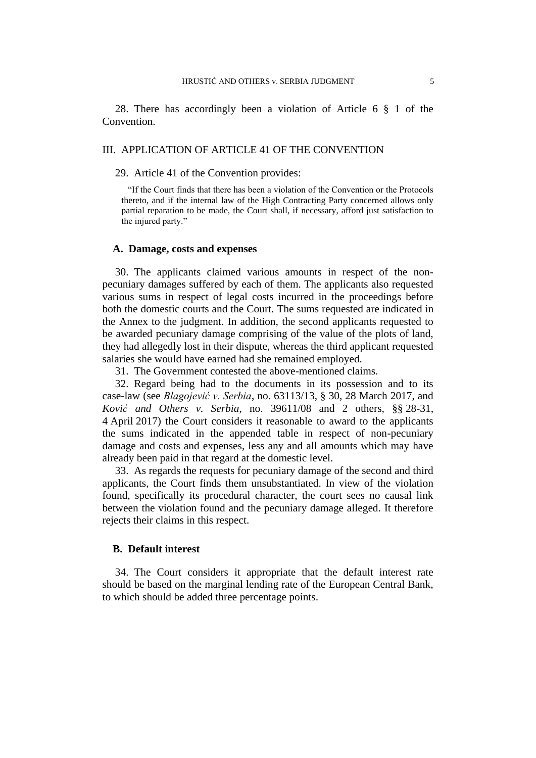28. There has accordingly been a violation of Article 6 § 1 of the Convention.

#### III. APPLICATION OF ARTICLE 41 OF THE CONVENTION

#### 29. Article 41 of the Convention provides:

"If the Court finds that there has been a violation of the Convention or the Protocols thereto, and if the internal law of the High Contracting Party concerned allows only partial reparation to be made, the Court shall, if necessary, afford just satisfaction to the injured party."

#### **A. Damage, costs and expenses**

30. The applicants claimed various amounts in respect of the nonpecuniary damages suffered by each of them. The applicants also requested various sums in respect of legal costs incurred in the proceedings before both the domestic courts and the Court. The sums requested are indicated in the Annex to the judgment. In addition, the second applicants requested to be awarded pecuniary damage comprising of the value of the plots of land, they had allegedly lost in their dispute, whereas the third applicant requested salaries she would have earned had she remained employed.

31. The Government contested the above-mentioned claims.

32. Regard being had to the documents in its possession and to its case-law (see *Blagojević v. Serbia*, no. 63113/13, § 30, 28 March 2017, and *Ković and Others v. Serbia*, no. 39611/08 and 2 others, §§ 28-31, 4 April 2017) the Court considers it reasonable to award to the applicants the sums indicated in the appended table in respect of non-pecuniary damage and costs and expenses, less any and all amounts which may have already been paid in that regard at the domestic level.

33. As regards the requests for pecuniary damage of the second and third applicants, the Court finds them unsubstantiated. In view of the violation found, specifically its procedural character, the court sees no causal link between the violation found and the pecuniary damage alleged. It therefore rejects their claims in this respect.

## **B. Default interest**

34. The Court considers it appropriate that the default interest rate should be based on the marginal lending rate of the European Central Bank, to which should be added three percentage points.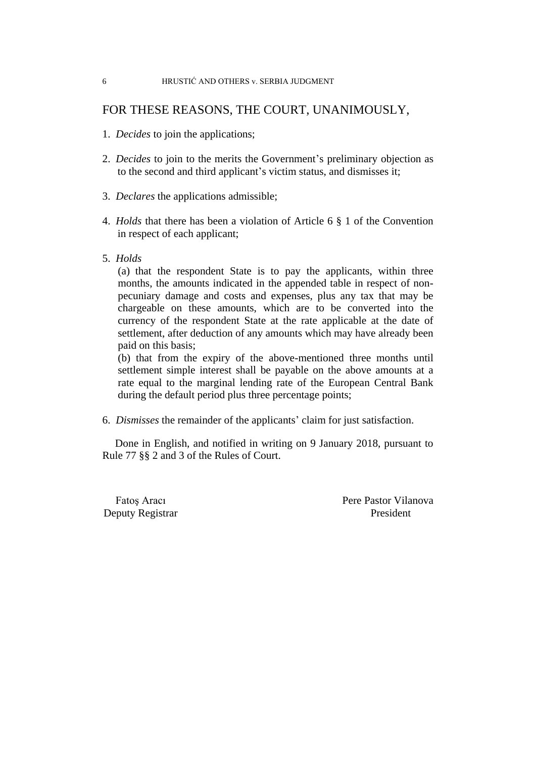#### 6 HRUSTIĆ AND OTHERS v. SERBIA JUDGMENT

## FOR THESE REASONS, THE COURT, UNANIMOUSLY,

- 1. *Decides* to join the applications;
- 2. *Decides* to join to the merits the Government's preliminary objection as to the second and third applicant's victim status, and dismisses it;
- 3. *Declares* the applications admissible;
- 4. *Holds* that there has been a violation of Article 6 § 1 of the Convention in respect of each applicant;
- 5. *Holds*

(a) that the respondent State is to pay the applicants, within three months, the amounts indicated in the appended table in respect of nonpecuniary damage and costs and expenses, plus any tax that may be chargeable on these amounts, which are to be converted into the currency of the respondent State at the rate applicable at the date of settlement, after deduction of any amounts which may have already been paid on this basis;

(b) that from the expiry of the above-mentioned three months until settlement simple interest shall be payable on the above amounts at a rate equal to the marginal lending rate of the European Central Bank during the default period plus three percentage points;

6. *Dismisses* the remainder of the applicants' claim for just satisfaction.

Done in English, and notified in writing on 9 January 2018, pursuant to Rule 77 §§ 2 and 3 of the Rules of Court.

Deputy Registrar President

Fatos Aracı Pere Pastor Vilanova